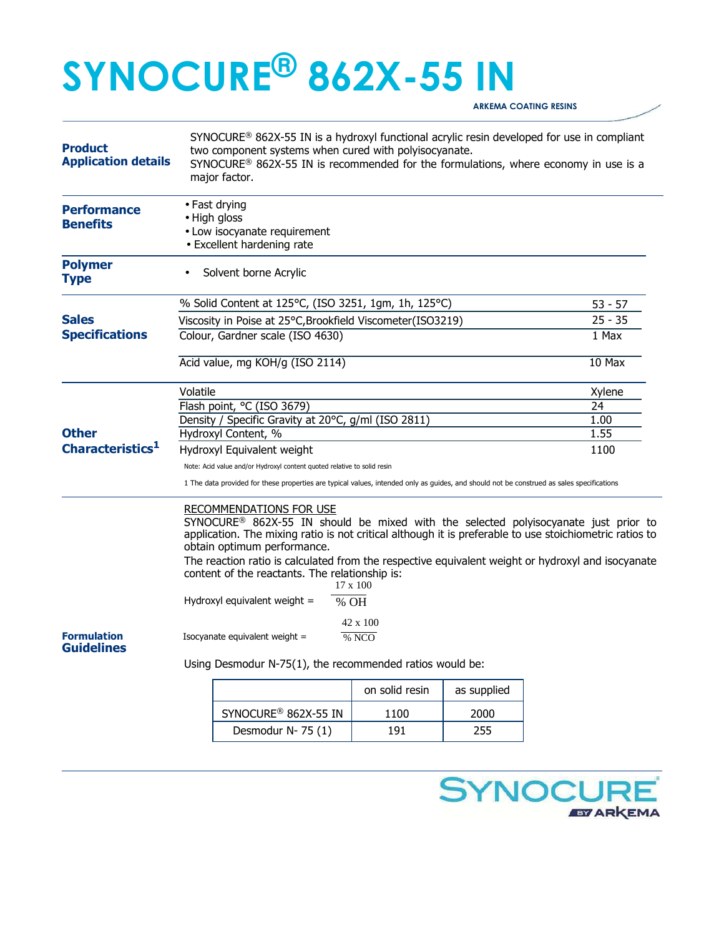# **SYNOCURE® 862X-55 IN**

**ARKEMA COATING RESINS** 

| <b>Product</b><br><b>Application details</b> | SYNOCURE <sup>®</sup> 862X-55 IN is a hydroxyl functional acrylic resin developed for use in compliant<br>two component systems when cured with polyisocyanate.<br>SYNOCURE® 862X-55 IN is recommended for the formulations, where economy in use is a<br>major factor.                                                                                                                                                                                                                           |                                  |                |             |           |
|----------------------------------------------|---------------------------------------------------------------------------------------------------------------------------------------------------------------------------------------------------------------------------------------------------------------------------------------------------------------------------------------------------------------------------------------------------------------------------------------------------------------------------------------------------|----------------------------------|----------------|-------------|-----------|
| <b>Performance</b><br><b>Benefits</b>        | • Fast drying<br>• High gloss<br>• Low isocyanate requirement<br>• Excellent hardening rate                                                                                                                                                                                                                                                                                                                                                                                                       |                                  |                |             |           |
| <b>Polymer</b><br><b>Type</b>                |                                                                                                                                                                                                                                                                                                                                                                                                                                                                                                   | Solvent borne Acrylic            |                |             |           |
|                                              | % Solid Content at 125°C, (ISO 3251, 1gm, 1h, 125°C)                                                                                                                                                                                                                                                                                                                                                                                                                                              |                                  |                |             | $53 - 57$ |
| <b>Sales</b>                                 | Viscosity in Poise at 25°C, Brookfield Viscometer (ISO3219)                                                                                                                                                                                                                                                                                                                                                                                                                                       |                                  |                |             | $25 - 35$ |
| <b>Specifications</b>                        | Colour, Gardner scale (ISO 4630)                                                                                                                                                                                                                                                                                                                                                                                                                                                                  |                                  |                |             | 1 Max     |
|                                              | Acid value, mg KOH/g (ISO 2114)                                                                                                                                                                                                                                                                                                                                                                                                                                                                   |                                  |                |             | 10 Max    |
|                                              | Volatile                                                                                                                                                                                                                                                                                                                                                                                                                                                                                          |                                  |                |             | Xylene    |
|                                              | Flash point, °C (ISO 3679)                                                                                                                                                                                                                                                                                                                                                                                                                                                                        |                                  |                |             | 24        |
|                                              | Density / Specific Gravity at 20°C, g/ml (ISO 2811)                                                                                                                                                                                                                                                                                                                                                                                                                                               |                                  |                |             | 1.00      |
| <b>Other</b><br>Characteristics <sup>1</sup> | Hydroxyl Content, %                                                                                                                                                                                                                                                                                                                                                                                                                                                                               |                                  |                |             | 1.55      |
|                                              | Hydroxyl Equivalent weight                                                                                                                                                                                                                                                                                                                                                                                                                                                                        |                                  |                |             | 1100      |
|                                              | Note: Acid value and/or Hydroxyl content quoted relative to solid resin<br>1 The data provided for these properties are typical values, intended only as guides, and should not be construed as sales specifications                                                                                                                                                                                                                                                                              |                                  |                |             |           |
|                                              | <b>RECOMMENDATIONS FOR USE</b><br>SYNOCURE® 862X-55 IN should be mixed with the selected polyisocyanate just prior to<br>application. The mixing ratio is not critical although it is preferable to use stoichiometric ratios to<br>obtain optimum performance.<br>The reaction ratio is calculated from the respective equivalent weight or hydroxyl and isocyanate<br>content of the reactants. The relationship is:<br>$17 \times 100$<br>Hydroxyl equivalent weight $=$<br>$%$ OH<br>42 x 100 |                                  |                |             |           |
| <b>Formulation</b><br><b>Guidelines</b>      | Isocyanate equivalent weight =<br>% NCO<br>Using Desmodur N-75(1), the recommended ratios would be:                                                                                                                                                                                                                                                                                                                                                                                               |                                  |                |             |           |
|                                              |                                                                                                                                                                                                                                                                                                                                                                                                                                                                                                   |                                  |                |             |           |
|                                              |                                                                                                                                                                                                                                                                                                                                                                                                                                                                                                   |                                  | on solid resin | as supplied |           |
|                                              |                                                                                                                                                                                                                                                                                                                                                                                                                                                                                                   | SYNOCURE <sup>®</sup> 862X-55 IN | 1100           | 2000        |           |
|                                              |                                                                                                                                                                                                                                                                                                                                                                                                                                                                                                   | Desmodur N-75 (1)                | 191            | 255         |           |